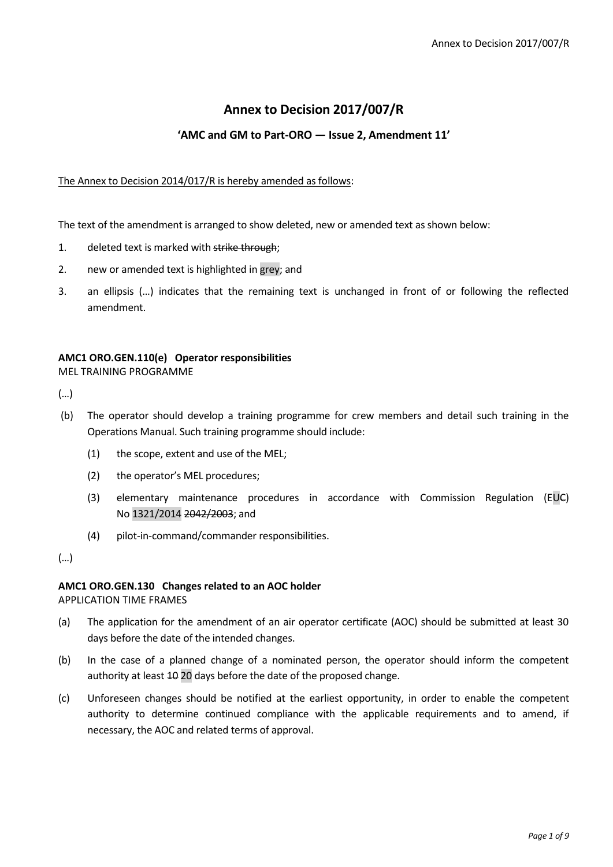# **Annex to Decision 2017/007/R**

## **'AMC and GM to Part-ORO — Issue 2, Amendment 11'**

#### The Annex to Decision 2014/017/R is hereby amended as follows:

The text of the amendment is arranged to show deleted, new or amended text as shown below:

- 1. deleted text is marked with strike through;
- 2. new or amended text is highlighted in grey; and
- 3. an ellipsis (…) indicates that the remaining text is unchanged in front of or following the reflected amendment.

#### **AMC1 ORO.GEN.110(e) Operator responsibilities**

MEL TRAINING PROGRAMME

(…)

- (b) The operator should develop a training programme for crew members and detail such training in the Operations Manual. Such training programme should include:
	- (1) the scope, extent and use of the MEL;
	- (2) the operator's MEL procedures;
	- (3) elementary maintenance procedures in accordance with Commission Regulation (EUC) No 1321/2014 2042/2003; and
	- (4) pilot-in-command/commander responsibilities.

(…)

#### **AMC1 ORO.GEN.130 Changes related to an AOC holder**

APPLICATION TIME FRAMES

- (a) The application for the amendment of an air operator certificate (AOC) should be submitted at least 30 days before the date of the intended changes.
- (b) In the case of a planned change of a nominated person, the operator should inform the competent authority at least  $40$  20 days before the date of the proposed change.
- (c) Unforeseen changes should be notified at the earliest opportunity, in order to enable the competent authority to determine continued compliance with the applicable requirements and to amend, if necessary, the AOC and related terms of approval.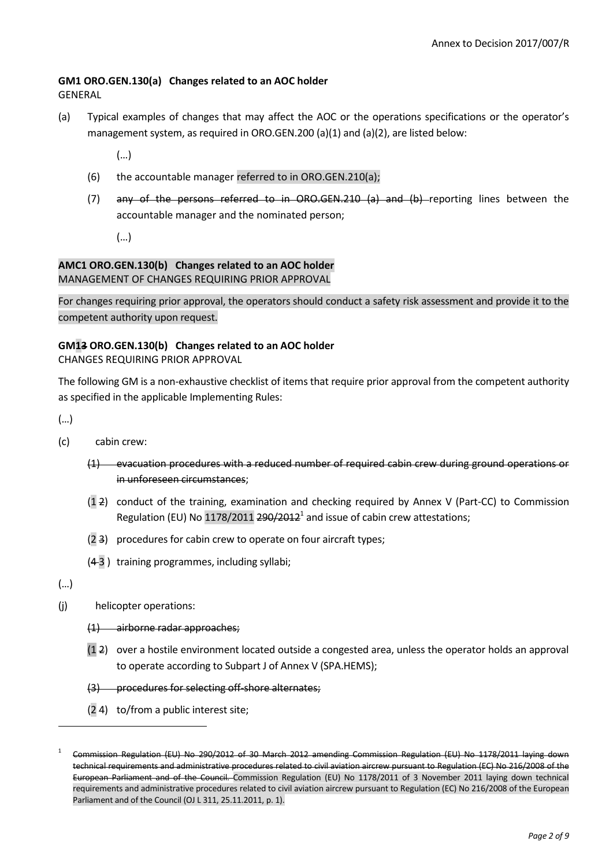### **GM1 ORO.GEN.130(a) Changes related to an AOC holder**

GENERAL

- (a) Typical examples of changes that may affect the AOC or the operations specifications or the operator's management system, as required in ORO.GEN.200 (a)(1) and (a)(2), are listed below:
	- (…)
	- (6) the accountable manager referred to in ORO.GEN.210(a);
	- (7) any of the persons referred to in ORO.GEN.210 (a) and (b) reporting lines between the accountable manager and the nominated person;

(…)

#### **AMC1 ORO.GEN.130(b) Changes related to an AOC holder** MANAGEMENT OF CHANGES REQUIRING PRIOR APPROVAL

For changes requiring prior approval, the operators should conduct a safety risk assessment and provide it to the competent authority upon request.

## **GM13 ORO.GEN.130(b) Changes related to an AOC holder**

CHANGES REQUIRING PRIOR APPROVAL

The following GM is a non-exhaustive checklist of items that require prior approval from the competent authority as specified in the applicable Implementing Rules:

(…)

- (c) cabin crew:
	- (1) evacuation procedures with a reduced number of required cabin crew during ground operations or in unforeseen circumstances;
	- (1 2) conduct of the training, examination and checking required by Annex V (Part-CC) to Commission Regulation (EU) No 1178/2011 290/2012<sup>1</sup> and issue of cabin crew attestations;
	- (2 3) procedures for cabin crew to operate on four aircraft types;
	- (4 3 ) training programmes, including syllabi;

(…)

 $\overline{a}$ 

- (j) helicopter operations:
	- (1) airborne radar approaches;
	- (1 2) over a hostile environment located outside a congested area, unless the operator holds an approval to operate according to Subpart J of Annex V (SPA.HEMS);
	- (3) procedures for selecting off-shore alternates;
	- (2 4) to/from a public interest site;

<sup>1</sup> Commission Regulation (EU) No 290/2012 of 30 March 2012 amending Commission Regulation (EU) No 1178/2011 laying down technical requirements and administrative procedures related to civil aviation aircrew pursuant to Regulation (EC) No 216/2008 of the European Parliament and of the Council. Commission Regulation (EU) No 1178/2011 of 3 November 2011 laying down technical requirements and administrative procedures related to civil aviation aircrew pursuant to Regulation (EC) No 216/2008 of the European Parliament and of the Council (OJ L 311, 25.11.2011, p. 1).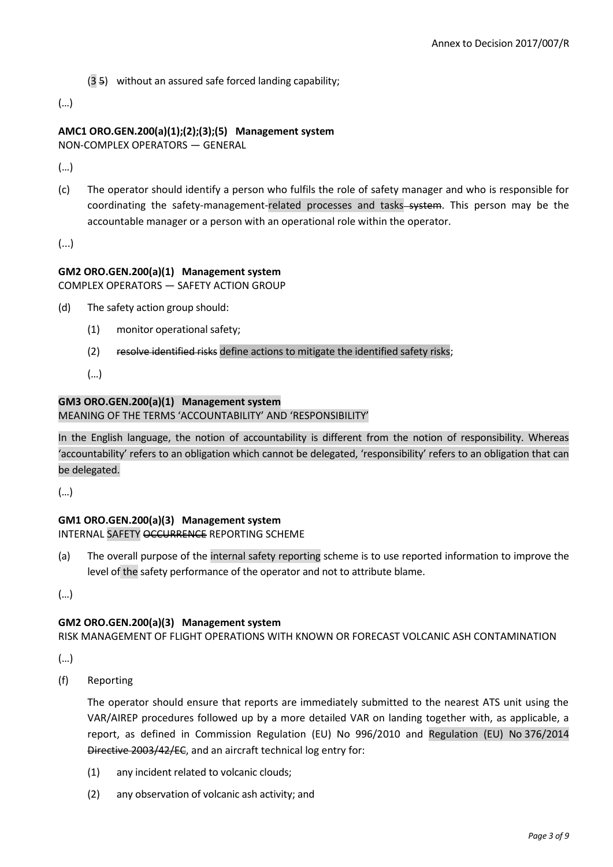(3 5) without an assured safe forced landing capability;

(…)

## **AMC1 ORO.GEN.200(a)(1);(2);(3);(5) Management system**

NON-COMPLEX OPERATORS — GENERAL

(…)

(c) The operator should identify a person who fulfils the role of safety manager and who is responsible for coordinating the safety-management-related processes and tasks-system. This person may be the accountable manager or a person with an operational role within the operator.

(...)

### **GM2 ORO.GEN.200(a)(1) Management system**

COMPLEX OPERATORS — SAFETY ACTION GROUP

- (d) The safety action group should:
	- (1) monitor operational safety;
	- (2) resolve identified risks define actions to mitigate the identified safety risks;
	- (…)

#### **GM3 ORO.GEN.200(a)(1) Management system** MEANING OF THE TERMS 'ACCOUNTABILITY' AND 'RESPONSIBILITY'

In the English language, the notion of accountability is different from the notion of responsibility. Whereas 'accountability' refers to an obligation which cannot be delegated, 'responsibility' refers to an obligation that can be delegated.

(…)

# **GM1 ORO.GEN.200(a)(3) Management system**

INTERNAL SAFETY OCCURRENCE REPORTING SCHEME

(a) The overall purpose of the internal safety reporting scheme is to use reported information to improve the level of the safety performance of the operator and not to attribute blame.

(…)

### **GM2 ORO.GEN.200(a)(3) Management system**

RISK MANAGEMENT OF FLIGHT OPERATIONS WITH KNOWN OR FORECAST VOLCANIC ASH CONTAMINATION

(…)

(f) Reporting

The operator should ensure that reports are immediately submitted to the nearest ATS unit using the VAR/AIREP procedures followed up by a more detailed VAR on landing together with, as applicable, a report, as defined in Commission Regulation (EU) No 996/2010 and Regulation (EU) No 376/2014 Directive 2003/42/EC, and an aircraft technical log entry for:

- (1) any incident related to volcanic clouds;
- (2) any observation of volcanic ash activity; and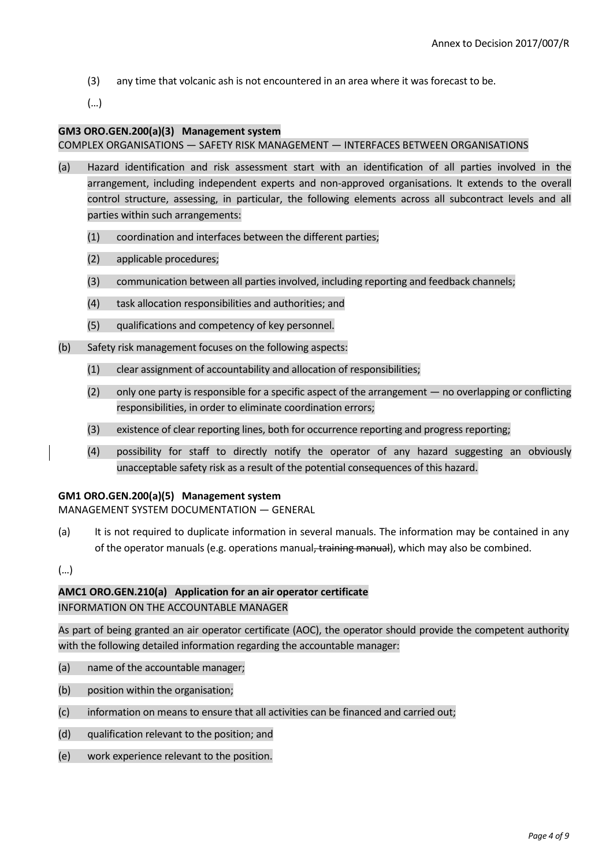(3) any time that volcanic ash is not encountered in an area where it was forecast to be.

(…)

#### **GM3 ORO.GEN.200(a)(3) Management system**

#### COMPLEX ORGANISATIONS — SAFETY RISK MANAGEMENT — INTERFACES BETWEEN ORGANISATIONS

- (a) Hazard identification and risk assessment start with an identification of all parties involved in the arrangement, including independent experts and non-approved organisations. It extends to the overall control structure, assessing, in particular, the following elements across all subcontract levels and all parties within such arrangements:
	- (1) coordination and interfaces between the different parties;
	- (2) applicable procedures;
	- (3) communication between all parties involved, including reporting and feedback channels;
	- (4) task allocation responsibilities and authorities; and
	- (5) qualifications and competency of key personnel.
- (b) Safety risk management focuses on the following aspects:
	- (1) clear assignment of accountability and allocation of responsibilities;
	- (2) only one party is responsible for a specific aspect of the arrangement no overlapping or conflicting responsibilities, in order to eliminate coordination errors;
	- (3) existence of clear reporting lines, both for occurrence reporting and progress reporting;
	- (4) possibility for staff to directly notify the operator of any hazard suggesting an obviously unacceptable safety risk as a result of the potential consequences of this hazard.

#### **GM1 ORO.GEN.200(a)(5) Management system**

MANAGEMENT SYSTEM DOCUMENTATION — GENERAL

(a) It is not required to duplicate information in several manuals. The information may be contained in any of the operator manuals (e.g. operations manual, training manual), which may also be combined.

(…)

### **AMC1 ORO.GEN.210(a) Application for an air operator certificate**

INFORMATION ON THE ACCOUNTABLE MANAGER

As part of being granted an air operator certificate (AOC), the operator should provide the competent authority with the following detailed information regarding the accountable manager:

- (a) name of the accountable manager;
- (b) position within the organisation;
- (c) information on means to ensure that all activities can be financed and carried out;
- (d) qualification relevant to the position; and
- (e) work experience relevant to the position.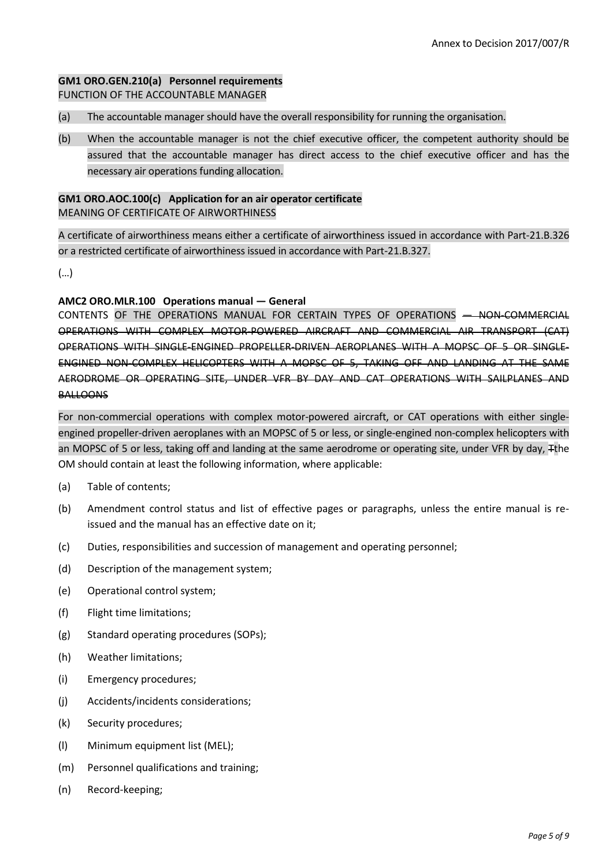## **GM1 ORO.GEN.210(a) Personnel requirements**  FUNCTION OF THE ACCOUNTABLE MANAGER

(a) The accountable manager should have the overall responsibility for running the organisation.

(b) When the accountable manager is not the chief executive officer, the competent authority should be assured that the accountable manager has direct access to the chief executive officer and has the necessary air operations funding allocation.

### **GM1 ORO.AOC.100(c) Application for an air operator certificate** MEANING OF CERTIFICATE OF AIRWORTHINESS

A certificate of airworthiness means either a certificate of airworthiness issued in accordance with Part-21.B.326 or a restricted certificate of airworthiness issued in accordance with Part-21.B.327.

(…)

### **AMC2 ORO.MLR.100 Operations manual — General**

CONTENTS OF THE OPERATIONS MANUAL FOR CERTAIN TYPES OF OPERATIONS — NON-COMMERCIAL OPERATIONS WITH COMPLEX MOTOR-POWERED AIRCRAFT AND COMMERCIAL AIR TRANSPORT (CAT) OPERATIONS WITH SINGLE-ENGINED PROPELLER-DRIVEN AEROPLANES WITH A MOPSC OF 5 OR SINGLE-ENGINED NON-COMPLEX HELICOPTERS WITH A MOPSC OF 5, TAKING OFF AND LANDING AT THE SAME AERODROME OR OPERATING SITE, UNDER VFR BY DAY AND CAT OPERATIONS WITH SAILPLANES AND **BALLOONS** 

For non-commercial operations with complex motor-powered aircraft, or CAT operations with either singleengined propeller-driven aeroplanes with an MOPSC of 5 or less, or single-engined non-complex helicopters with an MOPSC of 5 or less, taking off and landing at the same aerodrome or operating site, under VFR by day, Tthe OM should contain at least the following information, where applicable:

- (a) Table of contents;
- (b) Amendment control status and list of effective pages or paragraphs, unless the entire manual is reissued and the manual has an effective date on it;
- (c) Duties, responsibilities and succession of management and operating personnel;
- (d) Description of the management system;
- (e) Operational control system;
- (f) Flight time limitations;
- (g) Standard operating procedures (SOPs);
- (h) Weather limitations;
- (i) Emergency procedures;
- (j) Accidents/incidents considerations;
- (k) Security procedures;
- (l) Minimum equipment list (MEL);
- (m) Personnel qualifications and training;
- (n) Record-keeping;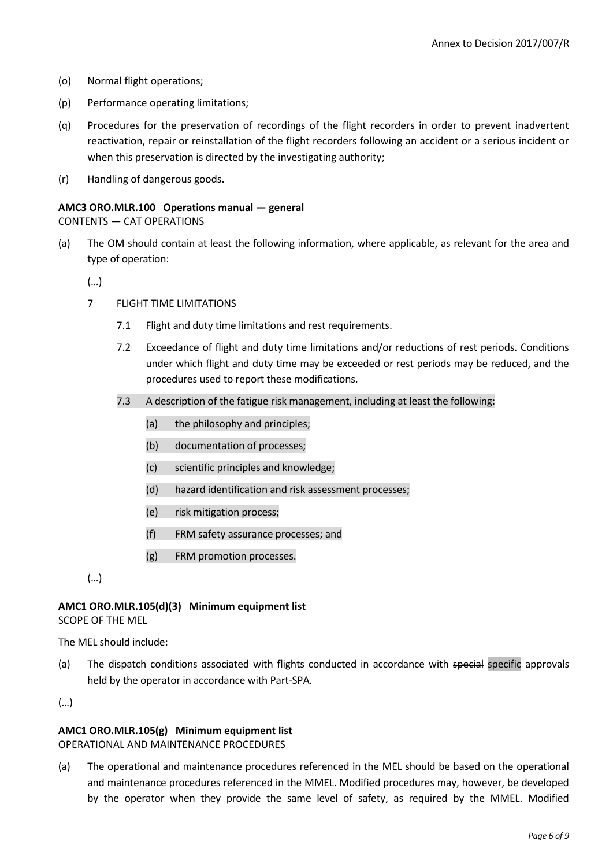- (o) Normal flight operations;
- (p) Performance operating limitations;
- (q) Procedures for the preservation of recordings of the flight recorders in order to prevent inadvertent reactivation, repair or reinstallation of the flight recorders following an accident or a serious incident or when this preservation is directed by the investigating authority;
- (r) Handling of dangerous goods.

# **AMC3 ORO.MLR.100 Operations manual — general**

CONTENTS — CAT OPERATIONS

(a) The OM should contain at least the following information, where applicable, as relevant for the area and type of operation:

(…)

- 7 FLIGHT TIME LIMITATIONS
	- 7.1 Flight and duty time limitations and rest requirements.
	- 7.2 Exceedance of flight and duty time limitations and/or reductions of rest periods. Conditions under which flight and duty time may be exceeded or rest periods may be reduced, and the procedures used to report these modifications.
	- 7.3 A description of the fatigue risk management, including at least the following:
		- (a) the philosophy and principles;
		- (b) documentation of processes;
		- (c) scientific principles and knowledge;
		- (d) hazard identification and risk assessment processes;
		- (e) risk mitigation process;
		- (f) FRM safety assurance processes; and
		- (g) FRM promotion processes.
- (…)

#### **AMC1 ORO.MLR.105(d)(3) Minimum equipment list** SCOPE OF THE MEL

The MEL should include:

(a) The dispatch conditions associated with flights conducted in accordance with special specific approvals held by the operator in accordance with Part-SPA.

(…)

### **AMC1 ORO.MLR.105(g) Minimum equipment list**

#### OPERATIONAL AND MAINTENANCE PROCEDURES

(a) The operational and maintenance procedures referenced in the MEL should be based on the operational and maintenance procedures referenced in the MMEL. Modified procedures may, however, be developed by the operator when they provide the same level of safety, as required by the MMEL. Modified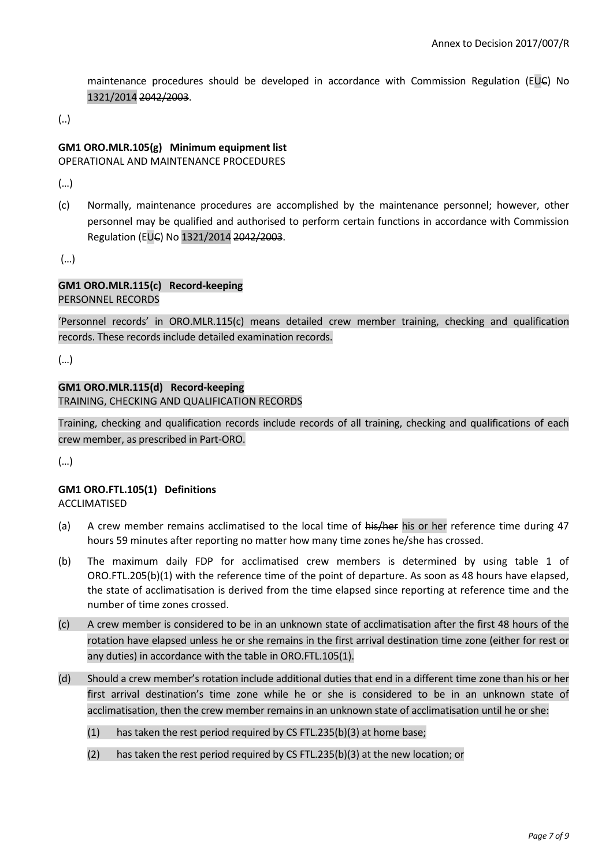maintenance procedures should be developed in accordance with Commission Regulation (EUC) No 1321/2014 2042/2003.

(..)

## **GM1 ORO.MLR.105(g) Minimum equipment list**

OPERATIONAL AND MAINTENANCE PROCEDURES

(…)

(c) Normally, maintenance procedures are accomplished by the maintenance personnel; however, other personnel may be qualified and authorised to perform certain functions in accordance with Commission Regulation (EUC) No 1321/2014 2042/2003.

(…)

#### **GM1 ORO.MLR.115(c) Record-keeping** PERSONNEL RECORDS

'Personnel records' in ORO.MLR.115(c) means detailed crew member training, checking and qualification records. These records include detailed examination records.

(…)

# **GM1 ORO.MLR.115(d) Record-keeping**

TRAINING, CHECKING AND QUALIFICATION RECORDS

Training, checking and qualification records include records of all training, checking and qualifications of each crew member, as prescribed in Part-ORO.

(…)

# **GM1 ORO.FTL.105(1) Definitions**

ACCLIMATISED

- (a) A crew member remains acclimatised to the local time of his/her his or her reference time during 47 hours 59 minutes after reporting no matter how many time zones he/she has crossed.
- (b) The maximum daily FDP for acclimatised crew members is determined by using table 1 of ORO.FTL.205(b)(1) with the reference time of the point of departure. As soon as 48 hours have elapsed, the state of acclimatisation is derived from the time elapsed since reporting at reference time and the number of time zones crossed.
- (c) A crew member is considered to be in an unknown state of acclimatisation after the first 48 hours of the rotation have elapsed unless he or she remains in the first arrival destination time zone (either for rest or any duties) in accordance with the table in ORO.FTL.105(1).
- (d) Should a crew member's rotation include additional duties that end in a different time zone than his or her first arrival destination's time zone while he or she is considered to be in an unknown state of acclimatisation, then the crew member remains in an unknown state of acclimatisation until he or she:
	- (1) has taken the rest period required by CS FTL.235(b)(3) at home base;
	- (2) has taken the rest period required by CS FTL.235(b)(3) at the new location; or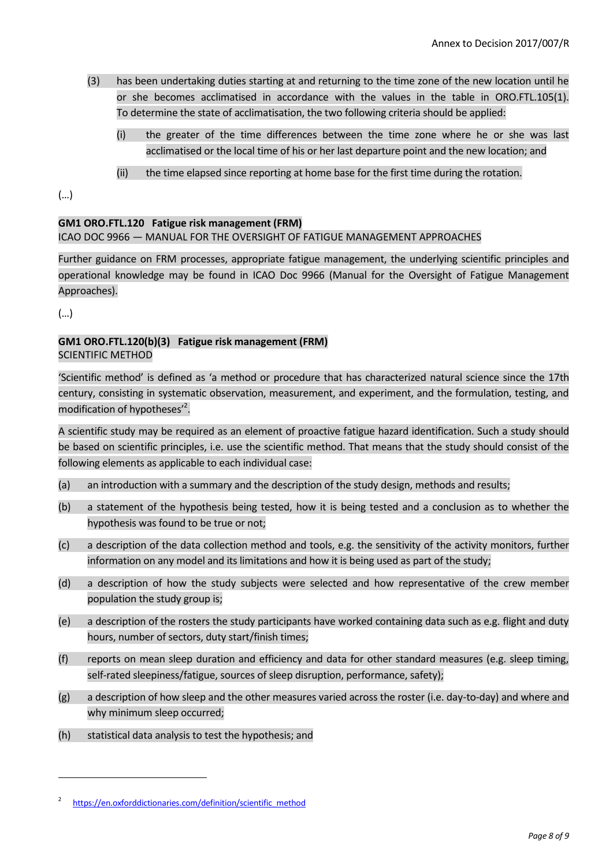- (3) has been undertaking duties starting at and returning to the time zone of the new location until he or she becomes acclimatised in accordance with the values in the table in ORO.FTL.105(1). To determine the state of acclimatisation, the two following criteria should be applied:
	- (i) the greater of the time differences between the time zone where he or she was last acclimatised or the local time of his or her last departure point and the new location; and
	- (ii) the time elapsed since reporting at home base for the first time during the rotation.

(…)

# **GM1 ORO.FTL.120 Fatigue risk management (FRM)**

## ICAO DOC 9966 — MANUAL FOR THE OVERSIGHT OF FATIGUE MANAGEMENT APPROACHES

Further guidance on FRM processes, appropriate fatigue management, the underlying scientific principles and operational knowledge may be found in ICAO Doc 9966 (Manual for the Oversight of Fatigue Management Approaches).

(…)

**.** 

### **GM1 ORO.FTL.120(b)(3) Fatigue risk management (FRM)** SCIENTIFIC METHOD

'Scientific method' is defined as 'a method or procedure that has characterized natural science since the 17th century, consisting in systematic observation, measurement, and experiment, and the formulation, testing, and modification of hypotheses<sup>2</sup>.

A scientific study may be required as an element of proactive fatigue hazard identification. Such a study should be based on scientific principles, i.e. use the scientific method. That means that the study should consist of the following elements as applicable to each individual case:

- (a) an introduction with a summary and the description of the study design, methods and results;
- (b) a statement of the hypothesis being tested, how it is being tested and a conclusion as to whether the hypothesis was found to be true or not;
- (c) a description of the data collection method and tools, e.g. the sensitivity of the activity monitors, further information on any model and its limitations and how it is being used as part of the study;
- (d) a description of how the study subjects were selected and how representative of the crew member population the study group is;
- (e) a description of the rosters the study participants have worked containing data such as e.g. flight and duty hours, number of sectors, duty start/finish times;
- (f) reports on mean sleep duration and efficiency and data for other standard measures (e.g. sleep timing, self-rated sleepiness/fatigue, sources of sleep disruption, performance, safety);
- (g) a description of how sleep and the other measures varied across the roster (i.e. day-to-day) and where and why minimum sleep occurred;
- (h) statistical data analysis to test the hypothesis; and

<sup>2</sup> [https://en.oxforddictionaries.com/definition/scientific\\_method](https://en.oxforddictionaries.com/definition/scientific_method)